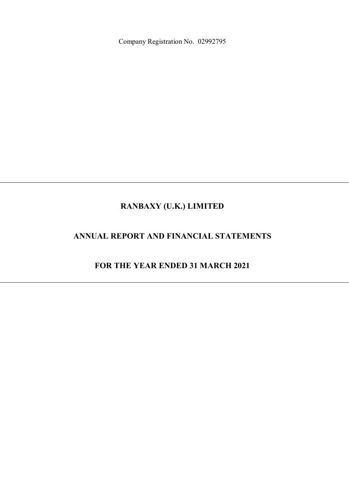Company Registration No. 02992795

# **RANBAXY (U.K.) LIMITED**

# **ANNUAL REPORT AND FINANCIAL STATEMENTS**

# **FOR THE YEAR ENDED 31 MARCH 2021**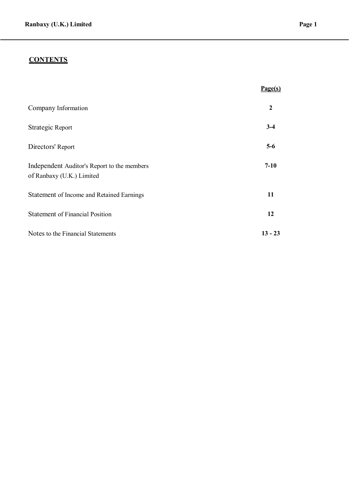# **CONTENTS**

|                                                                          | Page(s)      |
|--------------------------------------------------------------------------|--------------|
| Company Information                                                      | $\mathbf{2}$ |
| Strategic Report                                                         | $3-4$        |
| Directors' Report                                                        | $5-6$        |
| Independent Auditor's Report to the members<br>of Ranbaxy (U.K.) Limited | $7-10$       |
| Statement of Income and Retained Earnings                                | 11           |
| <b>Statement of Financial Position</b>                                   | 12           |
| Notes to the Financial Statements                                        | $13 - 23$    |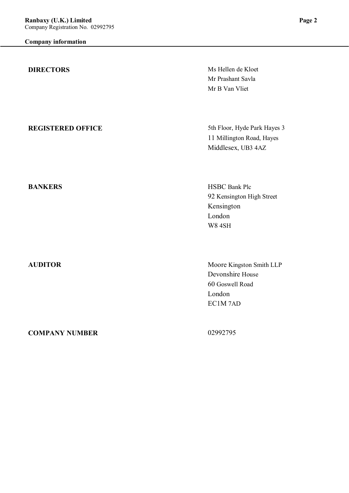## **Company information**

| <b>DIRECTORS</b>         | Ms Hellen de Kloet           |
|--------------------------|------------------------------|
|                          | Mr Prashant Savla            |
|                          | Mr B Van Vliet               |
|                          |                              |
| <b>REGISTERED OFFICE</b> | 5th Floor, Hyde Park Hayes 3 |
|                          | 11 Millington Road, Hayes    |
|                          | Middlesex, UB3 4AZ           |
|                          |                              |
| <b>BANKERS</b>           | <b>HSBC Bank Plc</b>         |
|                          | 92 Kensington High Street    |
|                          | Kensington                   |
|                          | London                       |
|                          | <b>W8 4SH</b>                |

**AUDITOR** Moore Kingston Smith LLP Devonshire House 60 Goswell Road London EC1M 7AD

# **COMPANY NUMBER** 02992795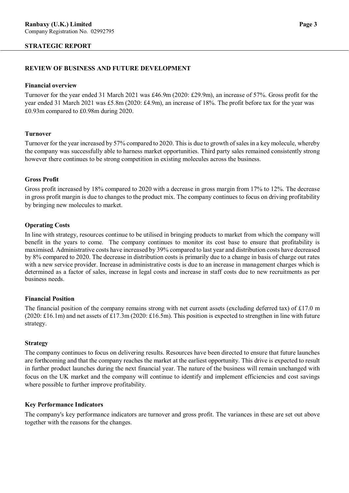#### **STRATEGIC REPORT**

#### **REVIEW OF BUSINESS AND FUTURE DEVELOPMENT**

#### **Financial overview**

Turnover for the year ended 31 March 2021 was £46.9m (2020: £29.9m), an increase of 57%. Gross profit for the year ended 31 March 2021 was £5.8m (2020: £4.9m), an increase of 18%. The profit before tax for the year was £0.93m compared to £0.98m during 2020.

#### **Turnover**

Turnover for the year increased by 57% compared to 2020. This is due to growth of sales in a key molecule, whereby the company was successfully able to harness market opportunities. Third party sales remained consistently strong however there continues to be strong competition in existing molecules across the business.

#### **Gross Profit**

Gross profit increased by 18% compared to 2020 with a decrease in gross margin from 17% to 12%. The decrease in gross profit margin is due to changes to the product mix. The company continues to focus on driving profitability by bringing new molecules to market.

#### **Operating Costs**

In line with strategy, resources continue to be utilised in bringing products to market from which the company will benefit in the years to come. The company continues to monitor its cost base to ensure that profitability is maximised. Administrative costs have increased by 39% compared to last year and distribution costs have decreased by 8% compared to 2020. The decrease in distribution costs is primarily due to a change in basis of charge out rates with a new service provider. Increase in administrative costs is due to an increase in management charges which is determined as a factor of sales, increase in legal costs and increase in staff costs due to new recruitments as per business needs.

#### **Financial Position**

The financial position of the company remains strong with net current assets (excluding deferred tax) of £17.0 m (2020: £16.1m) and net assets of £17.3m (2020: £16.5m). This position is expected to strengthen in line with future strategy.

#### **Strategy**

The company continues to focus on delivering results. Resources have been directed to ensure that future launches are forthcoming and that the company reaches the market at the earliest opportunity. This drive is expected to result in further product launches during the next financial year. The nature of the business will remain unchanged with focus on the UK market and the company will continue to identify and implement efficiencies and cost savings where possible to further improve profitability.

#### **Key Performance Indicators**

The company's key performance indicators are turnover and gross profit. The variances in these are set out above together with the reasons for the changes.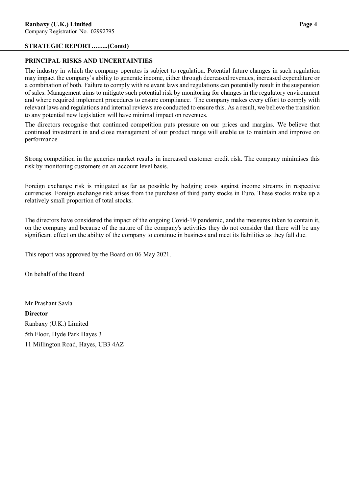# **STRATEGIC REPORT……..(Contd)**

# **PRINCIPAL RISKS AND UNCERTAINTIES**

The industry in which the company operates is subject to regulation. Potential future changes in such regulation may impact the company's ability to generate income, either through decreased revenues, increased expenditure or a combination of both. Failure to comply with relevant laws and regulations can potentially result in the suspension of sales. Management aims to mitigate such potential risk by monitoring for changes in the regulatory environment and where required implement procedures to ensure compliance. The company makes every effort to comply with relevant laws and regulations and internal reviews are conducted to ensure this. As a result, we believe the transition to any potential new legislation will have minimal impact on revenues.

The directors recognise that continued competition puts pressure on our prices and margins. We believe that continued investment in and close management of our product range will enable us to maintain and improve on performance.

Strong competition in the generics market results in increased customer credit risk. The company minimises this risk by monitoring customers on an account level basis.

Foreign exchange risk is mitigated as far as possible by hedging costs against income streams in respective currencies. Foreign exchange risk arises from the purchase of third party stocks in Euro. These stocks make up a relatively small proportion of total stocks.

The directors have considered the impact of the ongoing Covid-19 pandemic, and the measures taken to contain it, on the company and because of the nature of the company's activities they do not consider that there will be any significant effect on the ability of the company to continue in business and meet its liabilities as they fall due.

This report was approved by the Board on 06 May 2021.

On behalf of the Board

Mr Prashant Savla **Director** Ranbaxy (U.K.) Limited 5th Floor, Hyde Park Hayes 3 11 Millington Road, Hayes, UB3 4AZ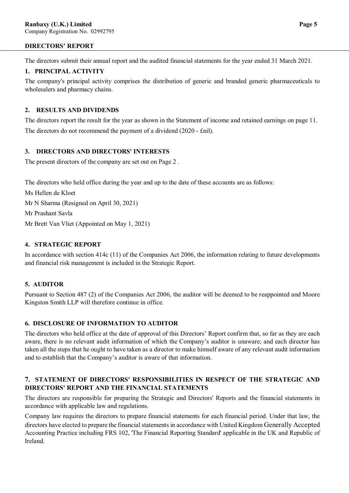## **DIRECTORS' REPORT**

The directors submit their annual report and the audited financial statements for the year ended 31 March 2021.

## **1. PRINCIPAL ACTIVITY**

The company's principal activity comprises the distribution of generic and branded generic pharmaceuticals to wholesalers and pharmacy chains.

# **2. RESULTS AND DIVIDENDS**

The directors report the result for the year as shown in the Statement of income and retained earnings on page 11. The directors do not recommend the payment of a dividend (2020 - £nil).

## **3. DIRECTORS AND DIRECTORS' INTERESTS**

The present directors of the company are set out on Page 2 .

The directors who held office during the year and up to the date of these accounts are as follows:

Ms Hellen de Kloet Mr N Sharma (Resigned on April 30, 2021) Mr Prashant Savla

Mr Brett Van Vliet (Appointed on May 1, 2021)

# **4. STRATEGIC REPORT**

In accordance with section 414c (11) of the Companies Act 2006, the information relating to future developments and financial risk management is included in the Strategic Report.

# **5. AUDITOR**

Pursuant to Section 487 (2) of the Companies Act 2006, the auditor will be deemed to be reappointed and Moore Kingston Smith LLP will therefore continue in office.

# **6. DISCLOSURE OF INFORMATION TO AUDITOR**

The directors who held office at the date of approval of this Directors' Report confirm that, so far as they are each aware, there is no relevant audit information of which the Company's auditor is unaware; and each director has taken all the steps that he ought to have taken as a director to make himself aware of any relevant audit information and to establish that the Company's auditor is aware of that information.

# **7. STATEMENT OF DIRECTORS' RESPONSIBILITIES IN RESPECT OF THE STRATEGIC AND DIRECTORS' REPORT AND THE FINANCIAL STATEMENTS**

The directors are responsible for preparing the Strategic and Directors' Reports and the financial statements in accordance with applicable law and regulations.

Company law requires the directors to prepare financial statements for each financial period. Under that law, the directors have elected to prepare the financial statements in accordance with United Kingdom Generally Accepted Accounting Practice including FRS 102, 'The Financial Reporting Standard' applicable in the UK and Republic of Ireland.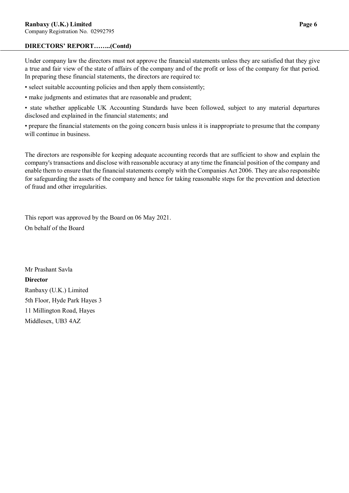# **DIRECTORS' REPORT……..(Contd)**

Under company law the directors must not approve the financial statements unless they are satisfied that they give a true and fair view of the state of affairs of the company and of the profit or loss of the company for that period. In preparing these financial statements, the directors are required to:

• select suitable accounting policies and then apply them consistently;

• make judgments and estimates that are reasonable and prudent;

• state whether applicable UK Accounting Standards have been followed, subject to any material departures disclosed and explained in the financial statements; and

• prepare the financial statements on the going concern basis unless it is inappropriate to presume that the company will continue in business.

The directors are responsible for keeping adequate accounting records that are sufficient to show and explain the company's transactions and disclose with reasonable accuracy at any time the financial position of the company and enable them to ensure that the financial statements comply with the Companies Act 2006. They are also responsible for safeguarding the assets of the company and hence for taking reasonable steps for the prevention and detection of fraud and other irregularities.

This report was approved by the Board on 06 May 2021. On behalf of the Board

Mr Prashant Savla **Director** Ranbaxy (U.K.) Limited 5th Floor, Hyde Park Hayes 3 11 Millington Road, Hayes Middlesex, UB3 4AZ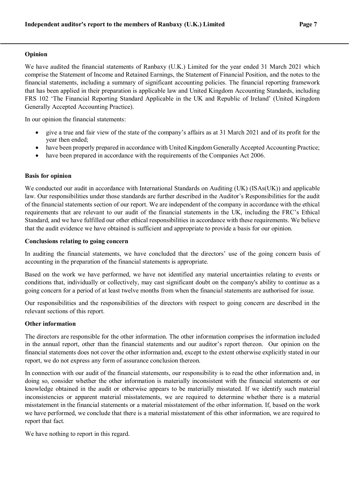#### **Opinion**

We have audited the financial statements of Ranbaxy (U.K.) Limited for the year ended 31 March 2021 which comprise the Statement of Income and Retained Earnings, the Statement of Financial Position, and the notes to the financial statements, including a summary of significant accounting policies. The financial reporting framework that has been applied in their preparation is applicable law and United Kingdom Accounting Standards, including FRS 102 'The Financial Reporting Standard Applicable in the UK and Republic of Ireland' (United Kingdom Generally Accepted Accounting Practice).

In our opinion the financial statements:

- give a true and fair view of the state of the company's affairs as at 31 March 2021 and of its profit for the year then ended;
- have been properly prepared in accordance with United Kingdom Generally Accepted Accounting Practice;
- have been prepared in accordance with the requirements of the Companies Act 2006.

#### **Basis for opinion**

We conducted our audit in accordance with International Standards on Auditing (UK) (ISAs(UK)) and applicable law. Our responsibilities under those standards are further described in the Auditor's Responsibilities for the audit of the financial statements section of our report. We are independent of the company in accordance with the ethical requirements that are relevant to our audit of the financial statements in the UK, including the FRC's Ethical Standard, and we have fulfilled our other ethical responsibilities in accordance with these requirements. We believe that the audit evidence we have obtained is sufficient and appropriate to provide a basis for our opinion.

#### **Conclusions relating to going concern**

In auditing the financial statements, we have concluded that the directors' use of the going concern basis of accounting in the preparation of the financial statements is appropriate.

Based on the work we have performed, we have not identified any material uncertainties relating to events or conditions that, individually or collectively, may cast significant doubt on the company's ability to continue as a going concern for a period of at least twelve months from when the financial statements are authorised for issue.

Our responsibilities and the responsibilities of the directors with respect to going concern are described in the relevant sections of this report.

#### **Other information**

The directors are responsible for the other information. The other information comprises the information included in the annual report, other than the financial statements and our auditor's report thereon. Our opinion on the financial statements does not cover the other information and, except to the extent otherwise explicitly stated in our report, we do not express any form of assurance conclusion thereon.

In connection with our audit of the financial statements, our responsibility is to read the other information and, in doing so, consider whether the other information is materially inconsistent with the financial statements or our knowledge obtained in the audit or otherwise appears to be materially misstated. If we identify such material inconsistencies or apparent material misstatements, we are required to determine whether there is a material misstatement in the financial statements or a material misstatement of the other information. If, based on the work we have performed, we conclude that there is a material misstatement of this other information, we are required to report that fact.

We have nothing to report in this regard.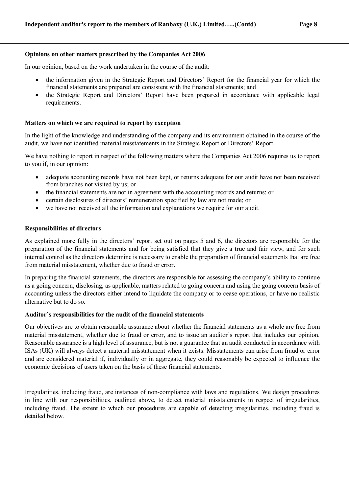#### **Opinions on other matters prescribed by the Companies Act 2006**

In our opinion, based on the work undertaken in the course of the audit:

- the information given in the Strategic Report and Directors' Report for the financial year for which the financial statements are prepared are consistent with the financial statements; and
- the Strategic Report and Directors' Report have been prepared in accordance with applicable legal requirements.

#### **Matters on which we are required to report by exception**

In the light of the knowledge and understanding of the company and its environment obtained in the course of the audit, we have not identified material misstatements in the Strategic Report or Directors' Report.

We have nothing to report in respect of the following matters where the Companies Act 2006 requires us to report to you if, in our opinion:

- adequate accounting records have not been kept, or returns adequate for our audit have not been received from branches not visited by us; or
- the financial statements are not in agreement with the accounting records and returns; or
- certain disclosures of directors' remuneration specified by law are not made; or
- we have not received all the information and explanations we require for our audit.

#### **Responsibilities of directors**

As explained more fully in the directors' report set out on pages 5 and 6, the directors are responsible for the preparation of the financial statements and for being satisfied that they give a true and fair view, and for such internal control as the directors determine is necessary to enable the preparation of financial statements that are free from material misstatement, whether due to fraud or error.

In preparing the financial statements, the directors are responsible for assessing the company's ability to continue as a going concern, disclosing, as applicable, matters related to going concern and using the going concern basis of accounting unless the directors either intend to liquidate the company or to cease operations, or have no realistic alternative but to do so.

#### **Auditor's responsibilities for the audit of the financial statements**

Our objectives are to obtain reasonable assurance about whether the financial statements as a whole are free from material misstatement, whether due to fraud or error, and to issue an auditor's report that includes our opinion. Reasonable assurance is a high level of assurance, but is not a guarantee that an audit conducted in accordance with ISAs (UK) will always detect a material misstatement when it exists. Misstatements can arise from fraud or error and are considered material if, individually or in aggregate, they could reasonably be expected to influence the economic decisions of users taken on the basis of these financial statements.

Irregularities, including fraud, are instances of non-compliance with laws and regulations. We design procedures in line with our responsibilities, outlined above, to detect material misstatements in respect of irregularities, including fraud. The extent to which our procedures are capable of detecting irregularities, including fraud is detailed below.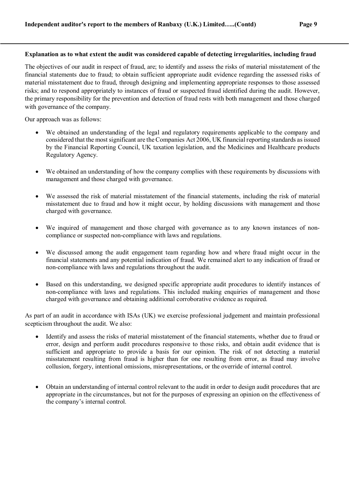#### **Explanation as to what extent the audit was considered capable of detecting irregularities, including fraud**

The objectives of our audit in respect of fraud, are; to identify and assess the risks of material misstatement of the financial statements due to fraud; to obtain sufficient appropriate audit evidence regarding the assessed risks of material misstatement due to fraud, through designing and implementing appropriate responses to those assessed risks; and to respond appropriately to instances of fraud or suspected fraud identified during the audit. However, the primary responsibility for the prevention and detection of fraud rests with both management and those charged with governance of the company.

Our approach was as follows:

- We obtained an understanding of the legal and regulatory requirements applicable to the company and considered that the most significant are the Companies Act 2006, UK financial reporting standards as issued by the Financial Reporting Council, UK taxation legislation, and the Medicines and Healthcare products Regulatory Agency.
- We obtained an understanding of how the company complies with these requirements by discussions with management and those charged with governance.
- We assessed the risk of material misstatement of the financial statements, including the risk of material misstatement due to fraud and how it might occur, by holding discussions with management and those charged with governance.
- We inquired of management and those charged with governance as to any known instances of noncompliance or suspected non-compliance with laws and regulations.
- We discussed among the audit engagement team regarding how and where fraud might occur in the financial statements and any potential indication of fraud. We remained alert to any indication of fraud or non-compliance with laws and regulations throughout the audit.
- Based on this understanding, we designed specific appropriate audit procedures to identify instances of non-compliance with laws and regulations. This included making enquiries of management and those charged with governance and obtaining additional corroborative evidence as required.

As part of an audit in accordance with ISAs (UK) we exercise professional judgement and maintain professional scepticism throughout the audit. We also:

- Identify and assess the risks of material misstatement of the financial statements, whether due to fraud or error, design and perform audit procedures responsive to those risks, and obtain audit evidence that is sufficient and appropriate to provide a basis for our opinion. The risk of not detecting a material misstatement resulting from fraud is higher than for one resulting from error, as fraud may involve collusion, forgery, intentional omissions, misrepresentations, or the override of internal control.
- Obtain an understanding of internal control relevant to the audit in order to design audit procedures that are appropriate in the circumstances, but not for the purposes of expressing an opinion on the effectiveness of the company's internal control.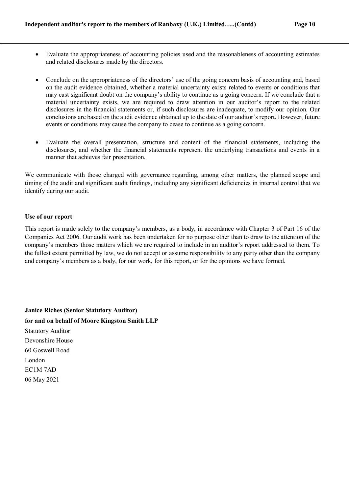- Evaluate the appropriateness of accounting policies used and the reasonableness of accounting estimates and related disclosures made by the directors.
- Conclude on the appropriateness of the directors' use of the going concern basis of accounting and, based on the audit evidence obtained, whether a material uncertainty exists related to events or conditions that may cast significant doubt on the company's ability to continue as a going concern. If we conclude that a material uncertainty exists, we are required to draw attention in our auditor's report to the related disclosures in the financial statements or, if such disclosures are inadequate, to modify our opinion. Our conclusions are based on the audit evidence obtained up to the date of our auditor's report. However, future events or conditions may cause the company to cease to continue as a going concern.
- Evaluate the overall presentation, structure and content of the financial statements, including the disclosures, and whether the financial statements represent the underlying transactions and events in a manner that achieves fair presentation.

We communicate with those charged with governance regarding, among other matters, the planned scope and timing of the audit and significant audit findings, including any significant deficiencies in internal control that we identify during our audit.

#### **Use of our report**

This report is made solely to the company's members, as a body, in accordance with Chapter 3 of Part 16 of the Companies Act 2006. Our audit work has been undertaken for no purpose other than to draw to the attention of the company's members those matters which we are required to include in an auditor's report addressed to them. To the fullest extent permitted by law, we do not accept or assume responsibility to any party other than the company and company's members as a body, for our work, for this report, or for the opinions we have formed.

**Janice Riches (Senior Statutory Auditor) for and on behalf of Moore Kingston Smith LLP** Statutory Auditor Devonshire House 60 Goswell Road London EC1M 7AD 06 May 2021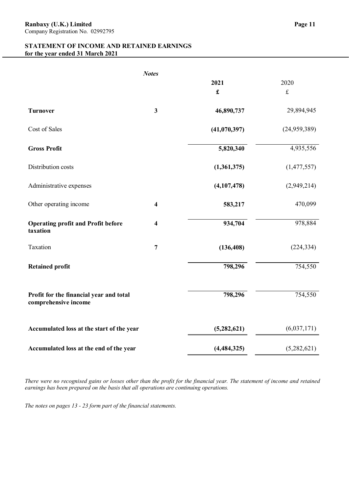#### **STATEMENT OF INCOME AND RETAINED EARNINGS for the year ended 31 March 2021**

|                                                                 | <b>Notes</b>            |               |              |
|-----------------------------------------------------------------|-------------------------|---------------|--------------|
|                                                                 |                         | 2021          | 2020         |
|                                                                 |                         | $\mathbf f$   | $\pounds$    |
|                                                                 |                         |               |              |
| <b>Turnover</b>                                                 | $\mathbf{3}$            | 46,890,737    | 29,894,945   |
| Cost of Sales                                                   |                         | (41,070,397)  | (24,959,389) |
| <b>Gross Profit</b>                                             |                         | 5,820,340     | 4,935,556    |
| Distribution costs                                              |                         | (1,361,375)   | (1,477,557)  |
| Administrative expenses                                         |                         | (4,107,478)   | (2,949,214)  |
| Other operating income                                          | $\overline{\mathbf{4}}$ | 583,217       | 470,099      |
| <b>Operating profit and Profit before</b><br>taxation           | $\overline{\mathbf{4}}$ | 934,704       | 978,884      |
| Taxation                                                        | $\overline{7}$          | (136, 408)    | (224, 334)   |
| <b>Retained profit</b>                                          |                         | 798,296       | 754,550      |
| Profit for the financial year and total<br>comprehensive income |                         | 798,296       | 754,550      |
| Accumulated loss at the start of the year                       |                         | (5, 282, 621) | (6,037,171)  |
| Accumulated loss at the end of the year                         |                         | (4, 484, 325) | (5,282,621)  |

*There were no recognised gains or losses other than the profit for the financial year. The statement of income and retained earnings has been prepared on the basis that all operations are continuing operations.* 

*The notes on pages 13 - 23 form part of the financial statements.*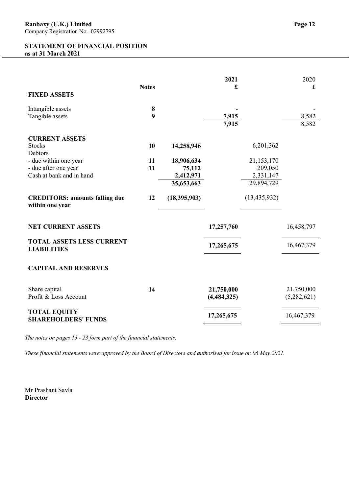#### **STATEMENT OF FINANCIAL POSITION as at 31 March 2021**

| <b>FIXED ASSETS</b>                                                                                                                                                     | <b>Notes</b>         |                                                                               | 2021<br>£                   |                                                                                 | 2020<br>$\mathbf f$       |
|-------------------------------------------------------------------------------------------------------------------------------------------------------------------------|----------------------|-------------------------------------------------------------------------------|-----------------------------|---------------------------------------------------------------------------------|---------------------------|
| Intangible assets<br>Tangible assets                                                                                                                                    | 8<br>9               |                                                                               | 7,915<br>7,915              |                                                                                 | 8,582<br>8,582            |
| <b>CURRENT ASSETS</b><br><b>Stocks</b><br>Debtors<br>- due within one year<br>- due after one year<br>Cash at bank and in hand<br><b>CREDITORS: amounts falling due</b> | 10<br>11<br>11<br>12 | 14,258,946<br>18,906,634<br>75,112<br>2,412,971<br>35,653,663<br>(18,395,903) |                             | 6,201,362<br>21,153,170<br>209,050<br>2,331,147<br>29,894,729<br>(13, 435, 932) |                           |
| within one year<br><b>NET CURRENT ASSETS</b><br><b>TOTAL ASSETS LESS CURRENT</b><br><b>LIABILITIES</b>                                                                  |                      |                                                                               | 17,257,760<br>17,265,675    |                                                                                 | 16,458,797<br>16,467,379  |
| <b>CAPITAL AND RESERVES</b>                                                                                                                                             |                      |                                                                               |                             |                                                                                 |                           |
| Share capital<br>Profit & Loss Account                                                                                                                                  | 14                   |                                                                               | 21,750,000<br>(4, 484, 325) |                                                                                 | 21,750,000<br>(5,282,621) |
| <b>TOTAL EQUITY</b><br><b>SHAREHOLDERS' FUNDS</b>                                                                                                                       |                      |                                                                               | 17,265,675                  |                                                                                 | 16,467,379                |

*The notes on pages 13 - 23 form part of the financial statements.*

*These financial statements were approved by the Board of Directors and authorised for issue on 06 May 2021.*

Mr Prashant Savla **Director**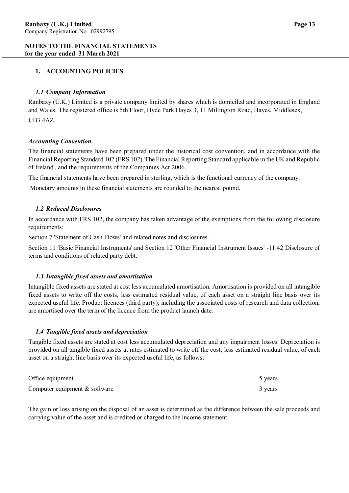## **1. ACCOUNTING POLICIES**

## *1.1 Company Information*

Ranbaxy (U.K.) Limited is a private company limited by shares which is domiciled and incorporated in England and Wales. The registered office is 5th Floor, Hyde Park Hayes 3, 11 Millington Road, Hayes, Middlesex,

UB3 4AZ.

## *Accounting Convention*

The financial statements have been prepared under the historical cost convention, and in accordance with the Financial Reporting Standard 102 (FRS 102) 'The Financial Reporting Standard applicable in the UK and Republic of Ireland', and the requirements of the Companies Act 2006.

The financial statements have been prepared in sterling, which is the functional currency of the company.

Monetary amounts in these financial statements are rounded to the nearest pound.

## *1.2 Reduced Disclosures*

In accordance with FRS 102, the company has taken advantage of the exemptions from the following disclosure requirements:

Section 7 'Statement of Cash Flows' and related notes and disclosures.

Section 11 'Basic Financial Instruments' and Section 12 'Other Financial Instrument Issues' -11.42 Disclosure of terms and conditions of related party debt.

## *1.3 Intangible fixed assets and amortisation*

Intangible fixed assets are stated at cost less accumulated amortisation. Amortisation is provided on all intangible fixed assets to write off the costs, less estimated residual value, of each asset on a straight line basis over its expected useful life. Product licences (third party), including the associated costs of research and data collection, are amortised over the term of the licence from the product launch date.

## *1.4 Tangible fixed assets and depreciation*

Tangible fixed assets are stated at cost less accumulated depreciation and any impairment losses. Depreciation is provided on all tangible fixed assets at rates estimated to write off the cost, less estimated residual value, of each asset on a straight line basis over its expected useful life, as follows:

| Office equipment                | 5 years |
|---------------------------------|---------|
| Computer equipment $&$ software | 3 years |

The gain or loss arising on the disposal of an asset is determined as the difference between the sale proceeds and carrying value of the asset and is credited or charged to the income statement.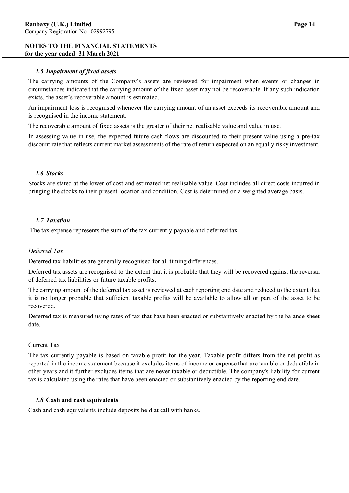#### *1.5 Impairment of fixed assets*

The carrying amounts of the Company's assets are reviewed for impairment when events or changes in circumstances indicate that the carrying amount of the fixed asset may not be recoverable. If any such indication exists, the asset's recoverable amount is estimated.

An impairment loss is recognised whenever the carrying amount of an asset exceeds its recoverable amount and is recognised in the income statement.

The recoverable amount of fixed assets is the greater of their net realisable value and value in use.

In assessing value in use, the expected future cash flows are discounted to their present value using a pre-tax discount rate that reflects current market assessments of the rate of return expected on an equally risky investment.

## *1.6 Stocks*

Stocks are stated at the lower of cost and estimated net realisable value. Cost includes all direct costs incurred in bringing the stocks to their present location and condition. Cost is determined on a weighted average basis.

## *1.7 Taxation*

The tax expense represents the sum of the tax currently payable and deferred tax.

#### *Deferred Tax*

Deferred tax liabilities are generally recognised for all timing differences.

Deferred tax assets are recognised to the extent that it is probable that they will be recovered against the reversal of deferred tax liabilities or future taxable profits.

The carrying amount of the deferred tax asset is reviewed at each reporting end date and reduced to the extent that it is no longer probable that sufficient taxable profits will be available to allow all or part of the asset to be recovered.

Deferred tax is measured using rates of tax that have been enacted or substantively enacted by the balance sheet date.

## Current Tax

The tax currently payable is based on taxable profit for the year. Taxable profit differs from the net profit as reported in the income statement because it excludes items of income or expense that are taxable or deductible in other years and it further excludes items that are never taxable or deductible. The company's liability for current tax is calculated using the rates that have been enacted or substantively enacted by the reporting end date.

## *1.8* **Cash and cash equivalents**

Cash and cash equivalents include deposits held at call with banks.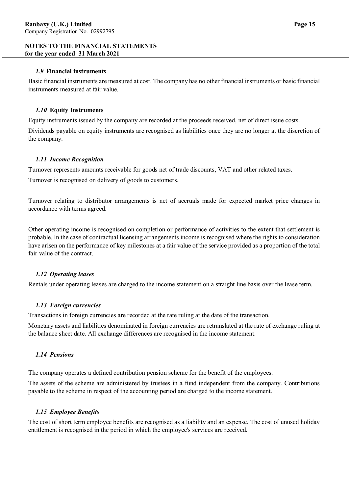#### *1.9* **Financial instruments**

Basic financial instruments are measured at cost. The company has no other financial instruments or basic financial instruments measured at fair value.

#### *1.10* **Equity Instruments**

Equity instruments issued by the company are recorded at the proceeds received, net of direct issue costs.

Dividends payable on equity instruments are recognised as liabilities once they are no longer at the discretion of the company.

#### *1.11 Income Recognition*

Turnover represents amounts receivable for goods net of trade discounts, VAT and other related taxes.

Turnover is recognised on delivery of goods to customers.

Turnover relating to distributor arrangements is net of accruals made for expected market price changes in accordance with terms agreed.

Other operating income is recognised on completion or performance of activities to the extent that settlement is probable. In the case of contractual licensing arrangements income is recognised where the rights to consideration have arisen on the performance of key milestones at a fair value of the service provided as a proportion of the total fair value of the contract.

## *1.12 Operating leases*

Rentals under operating leases are charged to the income statement on a straight line basis over the lease term.

## *1.13 Foreign currencies*

Transactions in foreign currencies are recorded at the rate ruling at the date of the transaction.

Monetary assets and liabilities denominated in foreign currencies are retranslated at the rate of exchange ruling at the balance sheet date. All exchange differences are recognised in the income statement.

## *1.14 Pensions*

The company operates a defined contribution pension scheme for the benefit of the employees.

The assets of the scheme are administered by trustees in a fund independent from the company. Contributions payable to the scheme in respect of the accounting period are charged to the income statement.

## *1.15 Employee Benefits*

The cost of short term employee benefits are recognised as a liability and an expense. The cost of unused holiday entitlement is recognised in the period in which the employee's services are received.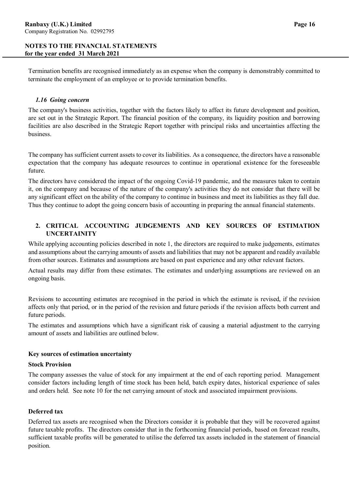Termination benefits are recognised immediately as an expense when the company is demonstrably committed to terminate the employment of an employee or to provide termination benefits.

#### *1.16 Going concern*

The company's business activities, together with the factors likely to affect its future development and position, are set out in the Strategic Report. The financial position of the company, its liquidity position and borrowing facilities are also described in the Strategic Report together with principal risks and uncertainties affecting the business.

The company has sufficient current assets to cover its liabilities. As a consequence, the directors have a reasonable expectation that the company has adequate resources to continue in operational existence for the foreseeable future.

The directors have considered the impact of the ongoing Covid-19 pandemic, and the measures taken to contain it, on the company and because of the nature of the company's activities they do not consider that there will be any significant effect on the ability of the company to continue in business and meet its liabilities as they fall due. Thus they continue to adopt the going concern basis of accounting in preparing the annual financial statements.

# **2. CRITICAL ACCOUNTING JUDGEMENTS AND KEY SOURCES OF ESTIMATION UNCERTAINITY**

While applying accounting policies described in note 1, the directors are required to make judgements, estimates and assumptions about the carrying amounts of assets and liabilities that may not be apparent and readily available from other sources. Estimates and assumptions are based on past experience and any other relevant factors.

Actual results may differ from these estimates. The estimates and underlying assumptions are reviewed on an ongoing basis.

Revisions to accounting estimates are recognised in the period in which the estimate is revised, if the revision affects only that period, or in the period of the revision and future periods if the revision affects both current and future periods.

The estimates and assumptions which have a significant risk of causing a material adjustment to the carrying amount of assets and liabilities are outlined below.

## **Key sources of estimation uncertainty**

#### **Stock Provision**

The company assesses the value of stock for any impairment at the end of each reporting period. Management consider factors including length of time stock has been held, batch expiry dates, historical experience of sales and orders held. See note 10 for the net carrying amount of stock and associated impairment provisions.

## **Deferred tax**

Deferred tax assets are recognised when the Directors consider it is probable that they will be recovered against future taxable profits. The directors consider that in the forthcoming financial periods, based on forecast results, sufficient taxable profits will be generated to utilise the deferred tax assets included in the statement of financial position.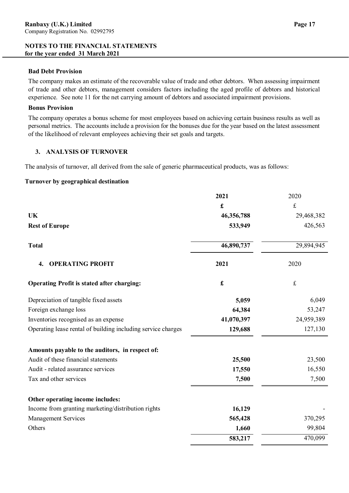#### **Bad Debt Provision**

The company makes an estimate of the recoverable value of trade and other debtors. When assessing impairment of trade and other debtors, management considers factors including the aged profile of debtors and historical experience. See note 11 for the net carrying amount of debtors and associated impairment provisions.

#### **Bonus Provision**

The company operates a bonus scheme for most employees based on achieving certain business results as well as personal metrics. The accounts include a provision for the bonuses due for the year based on the latest assessment of the likelihood of relevant employees achieving their set goals and targets.

## **3. ANALYSIS OF TURNOVER**

The analysis of turnover, all derived from the sale of generic pharmaceutical products, was as follows:

#### **Turnover by geographical destination**

|                                                              | 2021                 | 2020        |
|--------------------------------------------------------------|----------------------|-------------|
|                                                              | £                    | $\mathbf f$ |
| UK                                                           | 46,356,788           | 29,468,382  |
| <b>Rest of Europe</b>                                        | 533,949              | 426,563     |
| <b>Total</b>                                                 | 46,890,737           | 29,894,945  |
| <b>OPERATING PROFIT</b><br>4.                                | 2021                 | 2020        |
| <b>Operating Profit is stated after charging:</b>            | $\pmb{\mathfrak{L}}$ | $\pounds$   |
| Depreciation of tangible fixed assets                        | 5,059                | 6,049       |
| Foreign exchange loss                                        | 64,384               | 53,247      |
| Inventories recognised as an expense                         | 41,070,397           | 24,959,389  |
| Operating lease rental of building including service charges | 129,688              | 127,130     |
| Amounts payable to the auditors, in respect of:              |                      |             |
| Audit of these financial statements                          | 25,500               | 23,500      |
| Audit - related assurance services                           | 17,550               | 16,550      |
| Tax and other services                                       | 7,500                | 7,500       |
| Other operating income includes:                             |                      |             |
| Income from granting marketing/distribution rights           | 16,129               |             |
| <b>Management Services</b>                                   | 565,428              | 370,295     |
| Others                                                       | 1,660                | 99,804      |
|                                                              | 583,217              | 470,099     |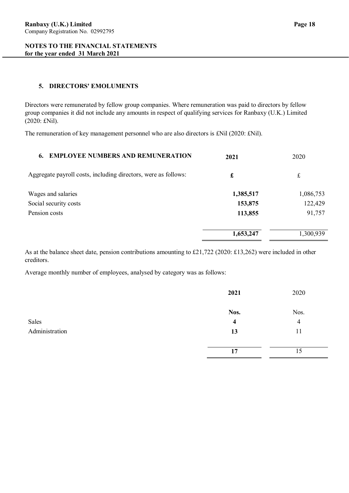## **5. DIRECTORS' EMOLUMENTS**

Directors were remunerated by fellow group companies. Where remuneration was paid to directors by fellow group companies it did not include any amounts in respect of qualifying services for Ranbaxy (U.K.) Limited (2020: £Nil).

The remuneration of key management personnel who are also directors is £Nil (2020: £Nil).

| <b>EMPLOYEE NUMBERS AND REMUNERATION</b><br>6.                 | 2021      | 2020      |
|----------------------------------------------------------------|-----------|-----------|
| Aggregate payroll costs, including directors, were as follows: | £         | £         |
| Wages and salaries                                             | 1,385,517 | 1,086,753 |
| Social security costs                                          | 153,875   | 122,429   |
| Pension costs                                                  | 113,855   | 91,757    |
|                                                                | 1,653,247 | 1,300,939 |

As at the balance sheet date, pension contributions amounting to £21,722 (2020: £13,262) were included in other creditors.

Average monthly number of employees, analysed by category was as follows:

|                | 2021                    | 2020 |
|----------------|-------------------------|------|
|                | Nos.                    | Nos. |
| Sales          | $\overline{\mathbf{4}}$ | 4    |
| Administration | 13                      | 11   |
|                | 17                      | 15   |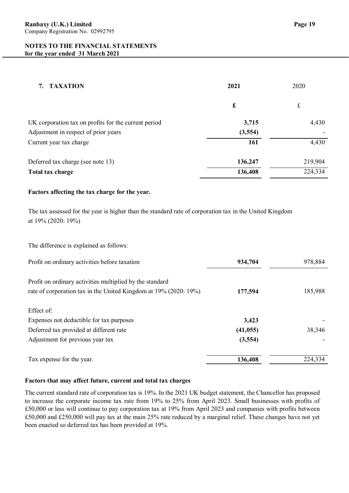| 7. TAXATION                                          | 2021    | 2020    |  |
|------------------------------------------------------|---------|---------|--|
|                                                      | £       | £       |  |
| UK corporation tax on profits for the current period | 3,715   | 4,430   |  |
| Adjustment in respect of prior years                 | (3,554) |         |  |
| Current year tax charge                              | 161     | 4,430   |  |
| Deferred tax charge (see note 13)                    | 136,247 | 219,904 |  |
| Total tax charge                                     | 136,408 | 224,334 |  |

## **Factors affecting the tax charge for the year.**

The tax assessed for the year is higher than the standard rate of corporation tax in the United Kingdom at 19% (2020: 19%)

The difference is explained as follows:

| Profit on ordinary activities before taxation                    | 934,704   | 978,884 |
|------------------------------------------------------------------|-----------|---------|
| Profit on ordinary activities multiplied by the standard         |           |         |
| rate of corporation tax in the United Kingdom at 19% (2020: 19%) | 177,594   | 185,988 |
| Effect of:                                                       |           |         |
| Expenses not deductible for tax purposes                         | 3,423     |         |
| Deferred tax provided at different rate                          | (41, 055) | 38,346  |
| Adjustment for previous year tax                                 | (3,554)   |         |
| Tax expense for the year.                                        | 136,408   | 224,334 |

## **Factors that may affect future, current and total tax charges**

The current standard rate of corporation tax is 19%. In the 2021 UK budget statement, the Chancellor has proposed to increase the corporate income tax rate from 19% to 25% from April 2023. Small businesses with profits of £50,000 or less will continue to pay corporation tax at 19% from April 2023 and companies with profits between £50,000 and £250,000 will pay tax at the main 25% rate reduced by a marginal relief. These changes have not yet been enacted so deferred tax has been provided at 19%.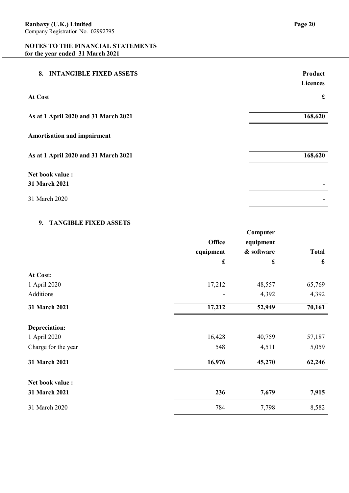| 8. INTANGIBLE FIXED ASSETS           | Product<br><b>Licences</b> |
|--------------------------------------|----------------------------|
| At Cost                              | £                          |
| As at 1 April 2020 and 31 March 2021 | 168,620                    |
| <b>Amortisation and impairment</b>   |                            |
| As at 1 April 2020 and 31 March 2021 | 168,620                    |
| Net book value :                     |                            |
| 31 March 2021                        |                            |
| 31 March 2020                        |                            |

# **9. TANGIBLE FIXED ASSETS**

|                     |             | Computer             |                    |
|---------------------|-------------|----------------------|--------------------|
|                     | Office      | equipment            |                    |
|                     | equipment   | & software           | <b>Total</b>       |
|                     | $\mathbf f$ | $\pmb{\mathfrak{L}}$ | $\pmb{\mathbf{f}}$ |
| At Cost:            |             |                      |                    |
| 1 April 2020        | 17,212      | 48,557               | 65,769             |
| Additions           |             | 4,392                | 4,392              |
| 31 March 2021       | 17,212      | 52,949               | 70,161             |
| Depreciation:       |             |                      |                    |
| 1 April 2020        | 16,428      | 40,759               | 57,187             |
| Charge for the year | 548         | 4,511                | 5,059              |
| 31 March 2021       | 16,976      | 45,270               | 62,246             |
| Net book value :    |             |                      |                    |
| 31 March 2021       | 236         | 7,679                | 7,915              |
| 31 March 2020       | 784         | 7,798                | 8,582              |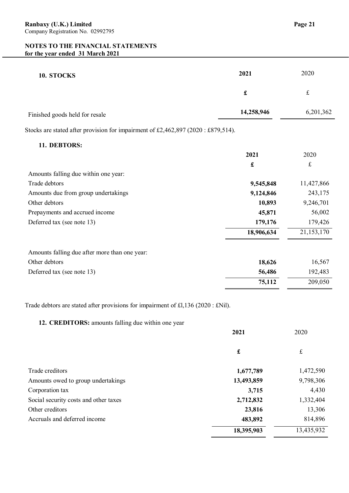| 10. STOCKS                                                                        | 2021                 | 2020       |
|-----------------------------------------------------------------------------------|----------------------|------------|
|                                                                                   | $\pmb{\mathfrak{L}}$ | $\pounds$  |
| Finished goods held for resale                                                    | 14,258,946           | 6,201,362  |
| Stocks are stated after provision for impairment of £2,462,897 (2020 : £879,514). |                      |            |
| 11. DEBTORS:                                                                      |                      |            |
|                                                                                   | 2021                 | 2020       |
|                                                                                   | £                    | $\pounds$  |
| Amounts falling due within one year:                                              |                      |            |
| Trade debtors                                                                     | 9,545,848            | 11,427,866 |
| Amounts due from group undertakings                                               | 9,124,846            | 243,175    |
| Other debtors                                                                     | 10,893               | 9,246,701  |
| Prepayments and accrued income                                                    | 45,871               | 56,002     |
| Deferred tax (see note 13)                                                        | 179,176              | 179,426    |
|                                                                                   | 18,906,634           | 21,153,170 |
| Amounts falling due after more than one year:                                     |                      |            |
| Other debtors                                                                     | 18,626               | 16,567     |
| Deferred tax (see note 13)                                                        | 56,486               | 192,483    |
|                                                                                   | 75,112               | 209,050    |
| Trade debtors are stated after provisions for impairment of £1,136 (2020 : £Nil). |                      |            |

## **12. CREDITORS:** amounts falling due within one year

|                                       | 2021       | 2020       |
|---------------------------------------|------------|------------|
|                                       | £          | £          |
| Trade creditors                       | 1,677,789  | 1,472,590  |
| Amounts owed to group undertakings    | 13,493,859 | 9,798,306  |
| Corporation tax                       | 3,715      | 4,430      |
| Social security costs and other taxes | 2,712,832  | 1,332,404  |
| Other creditors                       | 23,816     | 13,306     |
| Accruals and deferred income          | 483,892    | 814,896    |
|                                       | 18,395,903 | 13,435,932 |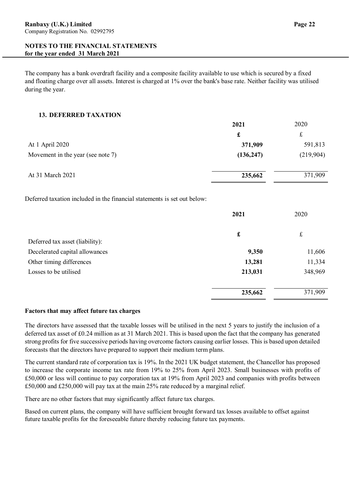The company has a bank overdraft facility and a composite facility available to use which is secured by a fixed and floating charge over all assets. Interest is charged at 1% over the bank's base rate. Neither facility was utilised during the year.

## **13. DEFERRED TAXATION**

|                                   | 2021       | 2020      |
|-----------------------------------|------------|-----------|
|                                   | £          | £         |
| At 1 April 2020                   | 371,909    | 591,813   |
| Movement in the year (see note 7) | (136, 247) | (219,904) |
| At 31 March 2021                  | 235,662    | 371,909   |

Deferred taxation included in the financial statements is set out below:

|                                 | 2021        | 2020      |
|---------------------------------|-------------|-----------|
| Deferred tax asset (liability): | $\mathbf f$ | $\pounds$ |
| Decelerated capital allowances  | 9,350       | 11,606    |
| Other timing differences        | 13,281      | 11,334    |
| Losses to be utilised           | 213,031     | 348,969   |
|                                 | 235,662     | 371,909   |

## **Factors that may affect future tax charges**

The directors have assessed that the taxable losses will be utilised in the next 5 years to justify the inclusion of a deferred tax asset of £0.24 million as at 31 March 2021. This is based upon the fact that the company has generated strong profits for five successive periods having overcome factors causing earlier losses. This is based upon detailed forecasts that the directors have prepared to support their medium term plans.

The current standard rate of corporation tax is 19%. In the 2021 UK budget statement, the Chancellor has proposed to increase the corporate income tax rate from 19% to 25% from April 2023. Small businesses with profits of £50,000 or less will continue to pay corporation tax at 19% from April 2023 and companies with profits between £50,000 and £250,000 will pay tax at the main 25% rate reduced by a marginal relief.

There are no other factors that may significantly affect future tax charges.

Based on current plans, the company will have sufficient brought forward tax losses available to offset against future taxable profits for the foreseeable future thereby reducing future tax payments.